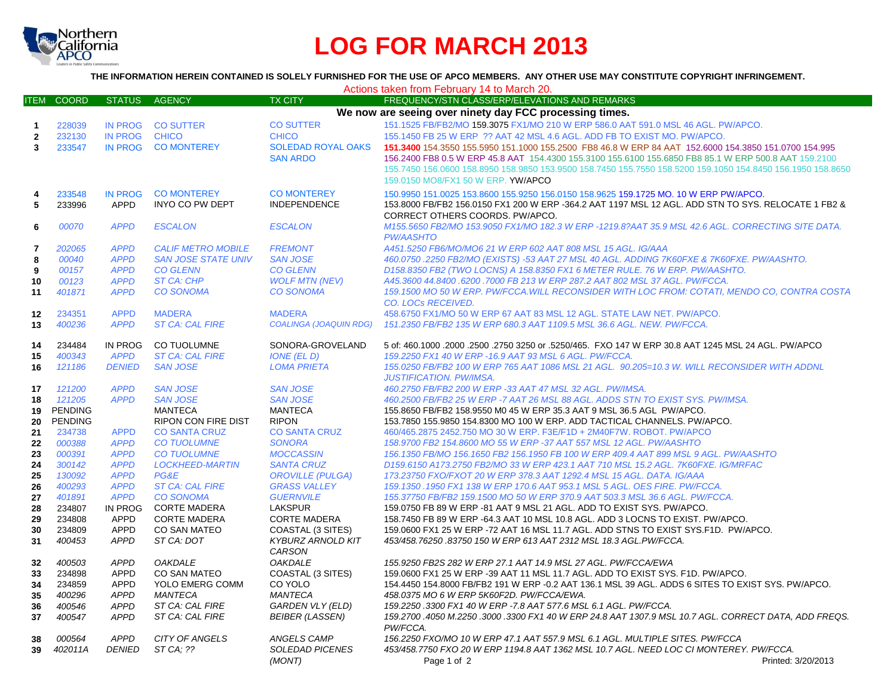

# **LOG FOR MARCH 2013**

**THE INFORMATION HEREIN CONTAINED IS SOLELY FURNISHED FOR THE USE OF APCO MEMBERS. ANY OTHER USE MAY CONSTITUTE COPYRIGHT INFRINGEMENT.**

| Actions taken from February 14 to March 20. |                  |                            |                                            |                                         |                                                                                                                                                           |  |  |  |  |
|---------------------------------------------|------------------|----------------------------|--------------------------------------------|-----------------------------------------|-----------------------------------------------------------------------------------------------------------------------------------------------------------|--|--|--|--|
| <b>ITEM</b>                                 | <b>COORD</b>     | <b>STATUS</b>              | AGENCY                                     | <b>TX CITY</b>                          | FREQUENCY/STN CLASS/ERP/ELEVATIONS AND REMARKS                                                                                                            |  |  |  |  |
|                                             |                  |                            |                                            |                                         | We now are seeing over ninety day FCC processing times.                                                                                                   |  |  |  |  |
| $\mathbf{1}$                                | 228039           |                            | IN PROG CO SUTTER                          | <b>CO SUTTER</b>                        | 151.1525 FB/FB2/MO 159.3075 FX1/MO 210 W ERP 586.0 AAT 591.0 MSL 46 AGL. PW/APCO.                                                                         |  |  |  |  |
| $\mathbf{2}$                                | 232130           | <b>IN PROG</b>             | <b>CHICO</b>                               | <b>CHICO</b>                            | 155.1450 FB 25 W ERP ?? AAT 42 MSL 4.6 AGL. ADD FB TO EXIST MO. PW/APCO.                                                                                  |  |  |  |  |
| $\overline{\mathbf{3}}$                     | 233547           | <b>IN PROG</b>             | <b>CO MONTEREY</b>                         | <b>SOLEDAD ROYAL OAKS</b>               | 151.3400 154.3550 155.5950 151.1000 155.2500 FB8 46.8 W ERP 84 AAT 152.6000 154.3850 151.0700 154.995                                                     |  |  |  |  |
|                                             |                  |                            |                                            | <b>SAN ARDO</b>                         | 156.2400 FB8 0.5 W ERP 45.8 AAT 154.4300 155.3100 155.6100 155.6850 FB8 85.1 W ERP 500.8 AAT 159.2100                                                     |  |  |  |  |
|                                             |                  |                            |                                            |                                         | 155.7450 156.0600 158.8950 158.9850 153.9500 158.7450 155.7550 158.5200 159.1050 154.8450 156.1950 158.8650                                               |  |  |  |  |
|                                             |                  |                            |                                            |                                         | 159.0150 MO8/FX1 50 W ERP. YW/APCO                                                                                                                        |  |  |  |  |
|                                             | 233548           | <b>IN PROG</b>             | <b>CO MONTEREY</b>                         | <b>CO MONTEREY</b>                      | 150,9950 151,0025 153,8600 155,9250 156,0150 158,9625 159,1725 MO, 10 W ERP PW/APCO,                                                                      |  |  |  |  |
| 5                                           | 233996           | <b>APPD</b>                | <b>INYO CO PW DEPT</b>                     | <b>INDEPENDENCE</b>                     | 153.8000 FB/FB2 156.0150 FX1 200 W ERP -364.2 AAT 1197 MSL 12 AGL. ADD STN TO SYS. RELOCATE 1 FB2 &                                                       |  |  |  |  |
|                                             |                  |                            |                                            |                                         | CORRECT OTHERS COORDS. PW/APCO.                                                                                                                           |  |  |  |  |
| 6                                           | 00070            | <b>APPD</b>                | <b>ESCALON</b>                             | <b>ESCALON</b>                          | M155.5650 FB2/MO 153.9050 FX1/MO 182.3 W ERP -1219.8?AAT 35.9 MSL 42.6 AGL. CORRECTING SITE DATA.                                                         |  |  |  |  |
|                                             |                  |                            |                                            |                                         | <b>PW/AASHTO</b>                                                                                                                                          |  |  |  |  |
| $\overline{7}$                              | 202065           | <b>APPD</b>                | <b>CALIF METRO MOBILE</b>                  | <b>FREMONT</b>                          | A451.5250 FB6/MO/MO6 21 W ERP 602 AAT 808 MSL 15 AGL. IG/AAA                                                                                              |  |  |  |  |
| 8                                           | 00040            | <b>APPD</b>                | <b>SAN JOSE STATE UNIV</b>                 | <b>SAN JOSE</b>                         | 460.0750 .2250 FB2/MO (EXISTS) -53 AAT 27 MSL 40 AGL. ADDING 7K60FXE & 7K60FXE. PW/AASHTO.                                                                |  |  |  |  |
| 9                                           | 00157            | <b>APPD</b>                | <b>CO GLENN</b>                            | <b>CO GLENN</b>                         | D158.8350 FB2 (TWO LOCNS) A 158.8350 FX1 6 METER RULE. 76 W ERP. PW/AASHTO.                                                                               |  |  |  |  |
| 10                                          | 00123            | <b>APPD</b>                | <b>ST CA: CHP</b>                          | <b>WOLF MTN (NEV)</b>                   | A45.3600 44.8400 .6200 .7000 FB 213 W ERP 287.2 AAT 802 MSL 37 AGL. PW/FCCA.                                                                              |  |  |  |  |
| 11                                          | 401871           | <b>APPD</b>                | <b>CO SONOMA</b>                           | <b>CO SONOMA</b>                        | 159.1500 MO 50 W ERP. PW/FCCA.WILL RECONSIDER WITH LOC FROM: COTATI, MENDO CO, CONTRA COSTA                                                               |  |  |  |  |
|                                             |                  |                            |                                            |                                         | <b>CO. LOCS RECEIVED.</b>                                                                                                                                 |  |  |  |  |
| 12                                          | 234351           | <b>APPD</b>                | <b>MADERA</b>                              | <b>MADERA</b>                           | 458.6750 FX1/MO 50 W ERP 67 AAT 83 MSL 12 AGL. STATE LAW NET. PW/APCO.                                                                                    |  |  |  |  |
| 13                                          | 400236           | <b>APPD</b>                | <b>ST CA: CAL FIRE</b>                     | <b>COALINGA (JOAQUIN RDG)</b>           | 151.2350 FB/FB2 135 W ERP 680.3 AAT 1109.5 MSL 36.6 AGL. NEW. PW/FCCA.                                                                                    |  |  |  |  |
| 14                                          | 234484           | IN PROG                    | CO TUOLUMNE                                | SONORA-GROVELAND                        | 5 of: 460.1000 .2000 .2500 .2750 3250 or .5250/465. FXO 147 W ERP 30.8 AAT 1245 MSL 24 AGL. PW/APCO                                                       |  |  |  |  |
| 15                                          | 400343           | <b>APPD</b>                | <b>ST CA: CAL FIRE</b>                     | IONE (EL D)                             | 159.2250 FX1 40 W ERP - 16.9 AAT 93 MSL 6 AGL. PW/FCCA.                                                                                                   |  |  |  |  |
| 16                                          | 121186           | <b>DENIED</b>              | <b>SAN JOSE</b>                            | <b>LOMA PRIETA</b>                      | 155.0250 FB/FB2 100 W ERP 765 AAT 1086 MSL 21 AGL. 90.205=10.3 W. WILL RECONSIDER WITH ADDNL                                                              |  |  |  |  |
|                                             |                  |                            |                                            |                                         | <b>JUSTIFICATION. PW/IMSA.</b>                                                                                                                            |  |  |  |  |
| 17                                          | 121200           | <b>APPD</b>                | <b>SAN JOSE</b>                            | <b>SAN JOSE</b>                         | 460.2750 FB/FB2 200 W ERP -33 AAT 47 MSL 32 AGL. PW/IMSA.                                                                                                 |  |  |  |  |
| 18                                          | 121205           | <b>APPD</b>                | <b>SAN JOSE</b>                            | <b>SAN JOSE</b>                         | 460.2500 FB/FB2 25 W ERP -7 AAT 26 MSL 88 AGL. ADDS STN TO EXIST SYS. PW/IMSA.                                                                            |  |  |  |  |
| 19                                          | <b>PENDING</b>   |                            | <b>MANTECA</b>                             | <b>MANTECA</b>                          | 155.8650 FB/FB2 158.9550 M0 45 W ERP 35.3 AAT 9 MSL 36.5 AGL PW/APCO.                                                                                     |  |  |  |  |
| 20                                          | <b>PENDING</b>   |                            | <b>RIPON CON FIRE DIST</b>                 | <b>RIPON</b>                            | 153.7850 155.9850 154.8300 MO 100 W ERP. ADD TACTICAL CHANNELS. PW/APCO.                                                                                  |  |  |  |  |
| 21                                          | 234738           | <b>APPD</b>                | <b>CO SANTA CRUZ</b>                       | <b>CO SANTA CRUZ</b>                    | 460/465.2875 2452.750 MO 30 W ERP. F3E/F1D + 2M40F7W. ROBOT. PW/APCO                                                                                      |  |  |  |  |
| 22                                          | 000388           | <b>APPD</b>                | <b>CO TUOLUMNE</b>                         | <b>SONORA</b>                           | 158.9700 FB2 154.8600 MO 55 W ERP -37 AAT 557 MSL 12 AGL. PW/AASHTO                                                                                       |  |  |  |  |
| 23                                          | 000391           | <b>APPD</b>                | CO TUOLUMNE                                | <b>MOCCASSIN</b>                        | 156.1350 FB/MO 156.1650 FB2 156.1950 FB 100 W ERP 409.4 AAT 899 MSL 9 AGL. PW/AASHTO                                                                      |  |  |  |  |
| 24                                          | 300142           | <b>APPD</b>                | <b>LOCKHEED-MARTIN</b>                     | <b>SANTA CRUZ</b>                       | D159.6150 A173.2750 FB2/MO 33 W ERP 423.1 AAT 710 MSL 15.2 AGL. 7K60FXE. IG/MRFAC                                                                         |  |  |  |  |
| 25                                          | 130092           | <b>APPD</b>                | PG&E                                       | <b>OROVILLE (PULGA)</b>                 | 173.23750 FXO/FXOT 20 W ERP 378.3 AAT 1292.4 MSL 15 AGL. DATA. IG/AAA                                                                                     |  |  |  |  |
| 26<br>27                                    | 400293<br>401891 | <b>APPD</b><br><b>APPD</b> | <b>ST CA: CAL FIRE</b><br><b>CO SONOMA</b> | <b>GRASS VALLEY</b><br><b>GUERNVILE</b> | 159.1350.1950 FX1 138 W ERP 170.6 AAT 953.1 MSL 5 AGL. OES FIRE. PW/FCCA.<br>155.37750 FB/FB2 159.1500 MO 50 W ERP 370.9 AAT 503.3 MSL 36.6 AGL. PW/FCCA. |  |  |  |  |
| 28                                          | 234807           | IN PROG                    | <b>CORTE MADERA</b>                        | <b>LAKSPUR</b>                          | 159.0750 FB 89 W ERP -81 AAT 9 MSL 21 AGL. ADD TO EXIST SYS. PW/APCO.                                                                                     |  |  |  |  |
| 29                                          | 234808           | <b>APPD</b>                | <b>CORTE MADERA</b>                        | <b>CORTE MADERA</b>                     | 158.7450 FB 89 W ERP -64.3 AAT 10 MSL 10.8 AGL. ADD 3 LOCNS TO EXIST. PW/APCO.                                                                            |  |  |  |  |
| 30                                          | 234809           | <b>APPD</b>                | CO SAN MATEO                               | COASTAL (3 SITES)                       | 159,0600 FX1 25 W ERP -72 AAT 16 MSL 11.7 AGL. ADD STNS TO EXIST SYS.F1D. PW/APCO.                                                                        |  |  |  |  |
| 31                                          | 400453           | <b>APPD</b>                | ST CA: DOT                                 | <b>KYBURZ ARNOLD KIT</b>                | 453/458.76250 .83750 150 W ERP 613 AAT 2312 MSL 18.3 AGL.PW/FCCA.                                                                                         |  |  |  |  |
|                                             |                  |                            |                                            | CARSON                                  |                                                                                                                                                           |  |  |  |  |
| 32                                          | 400503           | <b>APPD</b>                | <b>OAKDALE</b>                             | <b>OAKDALE</b>                          | 155.9250 FB2S 282 W ERP 27.1 AAT 14.9 MSL 27 AGL. PW/FCCA/EWA                                                                                             |  |  |  |  |
| 33                                          | 234898           | <b>APPD</b>                | <b>CO SAN MATEO</b>                        | COASTAL (3 SITES)                       | 159.0600 FX1 25 W ERP -39 AAT 11 MSL 11.7 AGL. ADD TO EXIST SYS. F1D. PW/APCO.                                                                            |  |  |  |  |
| 34                                          | 234859           | <b>APPD</b>                | YOLO EMERG COMM                            | CO YOLO                                 | 154.4450 154.8000 FB/FB2 191 W ERP -0.2 AAT 136.1 MSL 39 AGL. ADDS 6 SITES TO EXIST SYS. PW/APCO.                                                         |  |  |  |  |
| 35                                          | 400296           | <b>APPD</b>                | <b>MANTECA</b>                             | <b>MANTECA</b>                          | 458.0375 MO 6 W ERP 5K60F2D. PW/FCCA/EWA.                                                                                                                 |  |  |  |  |
| 36                                          | 400546           | <b>APPD</b>                | ST CA: CAL FIRE                            | <b>GARDEN VLY (ELD)</b>                 | 159.2250.3300 FX1 40 W ERP -7.8 AAT 577.6 MSL 6.1 AGL. PW/FCCA.                                                                                           |  |  |  |  |
| 37                                          | 400547           | <b>APPD</b>                | ST CA: CAL FIRE                            | <b>BEIBER (LASSEN)</b>                  | 159.2700 .4050 M.2250 .3000 .3300 FX1 40 W ERP 24.8 AAT 1307.9 MSL 10.7 AGL. CORRECT DATA, ADD FREQS.                                                     |  |  |  |  |
|                                             |                  |                            |                                            |                                         | PW/FCCA.                                                                                                                                                  |  |  |  |  |
| 38                                          | 000564           | <b>APPD</b>                | CITY OF ANGELS                             | ANGELS CAMP                             | 156.2250 FXO/MO 10 W ERP 47.1 AAT 557.9 MSL 6.1 AGL. MULTIPLE SITES. PW/FCCA                                                                              |  |  |  |  |
| 39                                          | 402011A          | DENIED                     | ST CA: ??                                  | <b>SOLEDAD PICENES</b>                  | 453/458.7750 FXO 20 W ERP 1194.8 AAT 1362 MSL 10.7 AGL. NEED LOC CI MONTEREY. PW/FCCA.                                                                    |  |  |  |  |
|                                             |                  |                            |                                            | (MONT)                                  | Page 1 of 2<br>Printed: 3/20/2013                                                                                                                         |  |  |  |  |